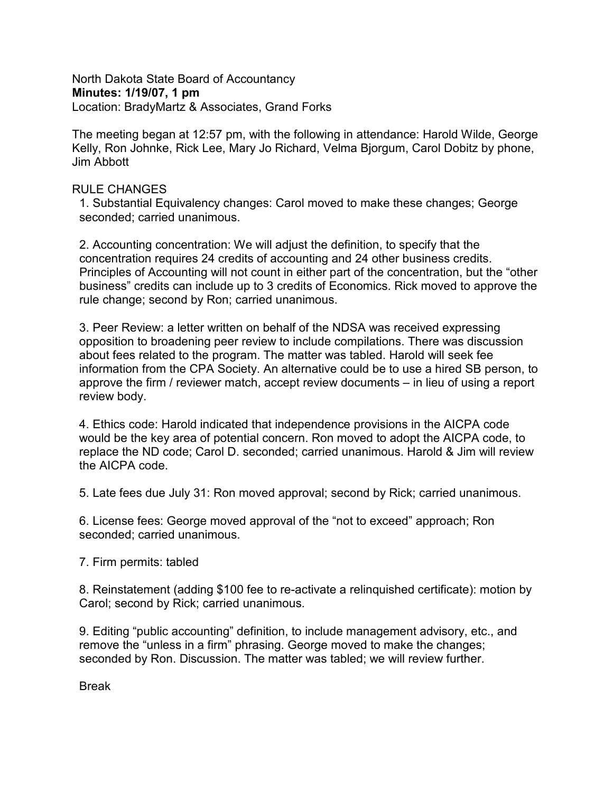North Dakota State Board of Accountancy **Minutes: 1/19/07, 1 pm** Location: BradyMartz & Associates, Grand Forks

The meeting began at 12:57 pm, with the following in attendance: Harold Wilde, George Kelly, Ron Johnke, Rick Lee, Mary Jo Richard, Velma Bjorgum, Carol Dobitz by phone, Jim Abbott

## RULE CHANGES

1. Substantial Equivalency changes: Carol moved to make these changes; George seconded; carried unanimous.

2. Accounting concentration: We will adjust the definition, to specify that the concentration requires 24 credits of accounting and 24 other business credits. Principles of Accounting will not count in either part of the concentration, but the "other business" credits can include up to 3 credits of Economics. Rick moved to approve the rule change; second by Ron; carried unanimous.

3. Peer Review: a letter written on behalf of the NDSA was received expressing opposition to broadening peer review to include compilations. There was discussion about fees related to the program. The matter was tabled. Harold will seek fee information from the CPA Society. An alternative could be to use a hired SB person, to approve the firm / reviewer match, accept review documents – in lieu of using a report review body.

4. Ethics code: Harold indicated that independence provisions in the AICPA code would be the key area of potential concern. Ron moved to adopt the AICPA code, to replace the ND code; Carol D. seconded; carried unanimous. Harold & Jim will review the AICPA code.

5. Late fees due July 31: Ron moved approval; second by Rick; carried unanimous.

6. License fees: George moved approval of the "not to exceed" approach; Ron seconded; carried unanimous.

7. Firm permits: tabled

8. Reinstatement (adding \$100 fee to re-activate a relinquished certificate): motion by Carol; second by Rick; carried unanimous.

9. Editing "public accounting" definition, to include management advisory, etc., and remove the "unless in a firm" phrasing. George moved to make the changes; seconded by Ron. Discussion. The matter was tabled; we will review further.

Break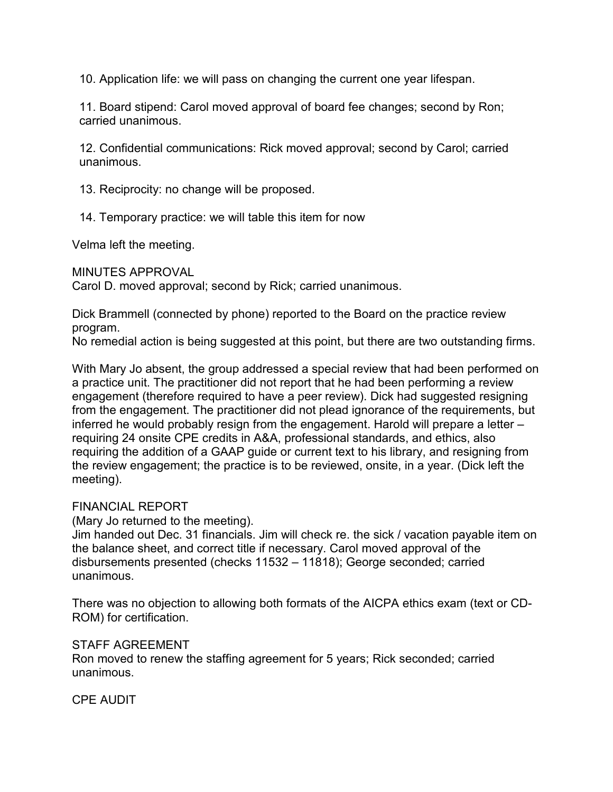10. Application life: we will pass on changing the current one year lifespan.

11. Board stipend: Carol moved approval of board fee changes; second by Ron; carried unanimous.

12. Confidential communications: Rick moved approval; second by Carol; carried unanimous.

13. Reciprocity: no change will be proposed.

14. Temporary practice: we will table this item for now

Velma left the meeting.

MINUTES APPROVAL

Carol D. moved approval; second by Rick; carried unanimous.

Dick Brammell (connected by phone) reported to the Board on the practice review program.

No remedial action is being suggested at this point, but there are two outstanding firms.

With Mary Jo absent, the group addressed a special review that had been performed on a practice unit. The practitioner did not report that he had been performing a review engagement (therefore required to have a peer review). Dick had suggested resigning from the engagement. The practitioner did not plead ignorance of the requirements, but inferred he would probably resign from the engagement. Harold will prepare a letter – requiring 24 onsite CPE credits in A&A, professional standards, and ethics, also requiring the addition of a GAAP guide or current text to his library, and resigning from the review engagement; the practice is to be reviewed, onsite, in a year. (Dick left the meeting).

## FINANCIAL REPORT

(Mary Jo returned to the meeting).

Jim handed out Dec. 31 financials. Jim will check re. the sick / vacation payable item on the balance sheet, and correct title if necessary. Carol moved approval of the disbursements presented (checks 11532 – 11818); George seconded; carried unanimous.

There was no objection to allowing both formats of the AICPA ethics exam (text or CD-ROM) for certification.

## STAFF AGREEMENT

Ron moved to renew the staffing agreement for 5 years; Rick seconded; carried unanimous.

CPE AUDIT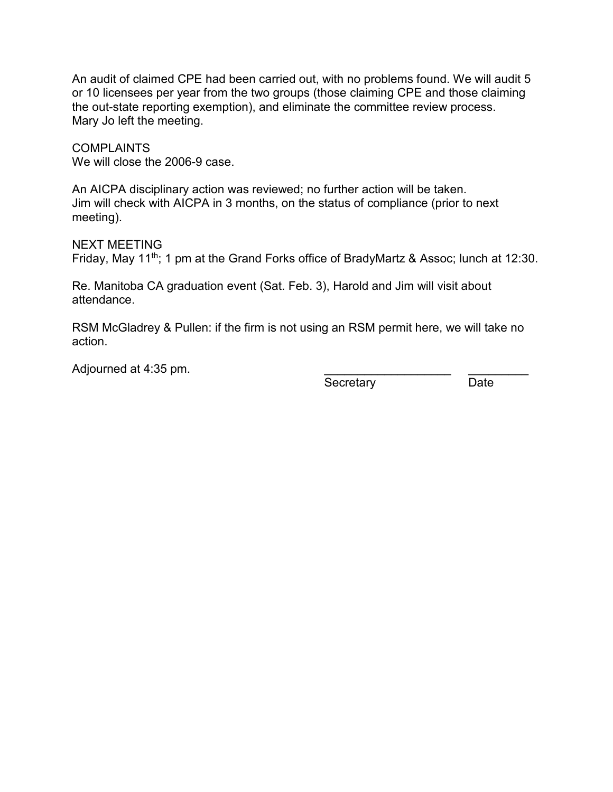An audit of claimed CPE had been carried out, with no problems found. We will audit 5 or 10 licensees per year from the two groups (those claiming CPE and those claiming the out-state reporting exemption), and eliminate the committee review process. Mary Jo left the meeting.

COMPLAINTS We will close the 2006-9 case.

An AICPA disciplinary action was reviewed; no further action will be taken. Jim will check with AICPA in 3 months, on the status of compliance (prior to next meeting).

NEXT MEETING Friday, May 11<sup>th</sup>; 1 pm at the Grand Forks office of BradyMartz & Assoc; lunch at 12:30.

Re. Manitoba CA graduation event (Sat. Feb. 3), Harold and Jim will visit about attendance.

RSM McGladrey & Pullen: if the firm is not using an RSM permit here, we will take no action.

Adjourned at 4:35 pm.

Secretary Date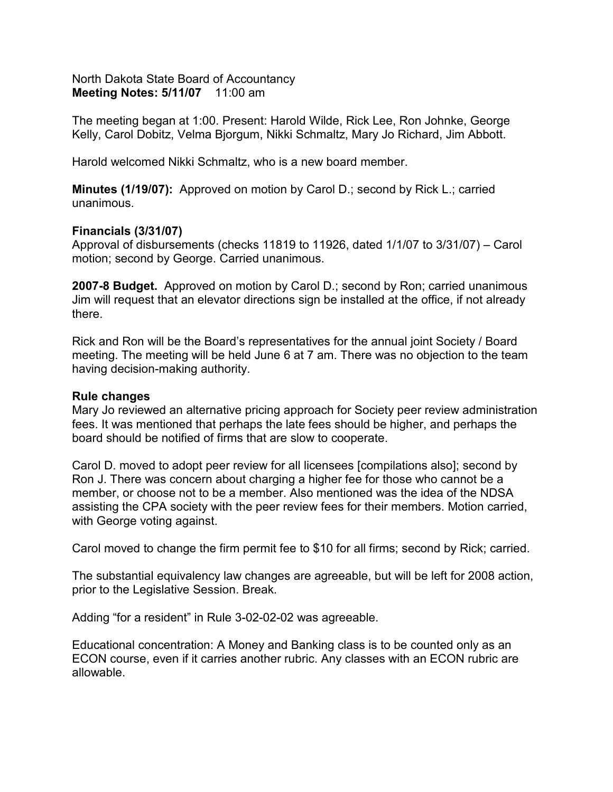North Dakota State Board of Accountancy **Meeting Notes: 5/11/07** 11:00 am

The meeting began at 1:00. Present: Harold Wilde, Rick Lee, Ron Johnke, George Kelly, Carol Dobitz, Velma Bjorgum, Nikki Schmaltz, Mary Jo Richard, Jim Abbott.

Harold welcomed Nikki Schmaltz, who is a new board member.

**Minutes (1/19/07):** Approved on motion by Carol D.; second by Rick L.; carried unanimous.

### **Financials (3/31/07)**

Approval of disbursements (checks 11819 to 11926, dated 1/1/07 to 3/31/07) – Carol motion; second by George. Carried unanimous.

**2007-8 Budget.** Approved on motion by Carol D.; second by Ron; carried unanimous Jim will request that an elevator directions sign be installed at the office, if not already there.

Rick and Ron will be the Board's representatives for the annual joint Society / Board meeting. The meeting will be held June 6 at 7 am. There was no objection to the team having decision-making authority.

#### **Rule changes**

Mary Jo reviewed an alternative pricing approach for Society peer review administration fees. It was mentioned that perhaps the late fees should be higher, and perhaps the board should be notified of firms that are slow to cooperate.

Carol D. moved to adopt peer review for all licensees [compilations also]; second by Ron J. There was concern about charging a higher fee for those who cannot be a member, or choose not to be a member. Also mentioned was the idea of the NDSA assisting the CPA society with the peer review fees for their members. Motion carried, with George voting against.

Carol moved to change the firm permit fee to \$10 for all firms; second by Rick; carried.

The substantial equivalency law changes are agreeable, but will be left for 2008 action, prior to the Legislative Session. Break.

Adding "for a resident" in Rule 3-02-02-02 was agreeable.

Educational concentration: A Money and Banking class is to be counted only as an ECON course, even if it carries another rubric. Any classes with an ECON rubric are allowable.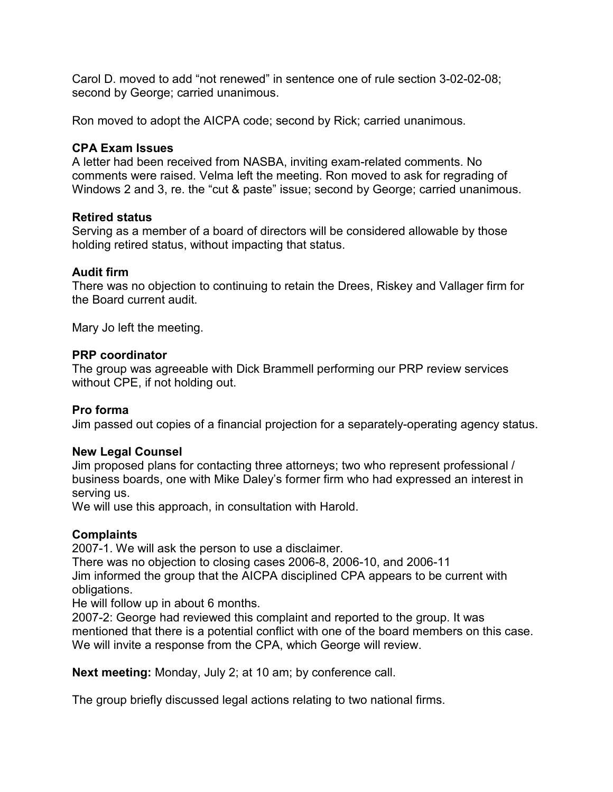Carol D. moved to add "not renewed" in sentence one of rule section 3-02-02-08; second by George; carried unanimous.

Ron moved to adopt the AICPA code; second by Rick; carried unanimous.

## **CPA Exam Issues**

A letter had been received from NASBA, inviting exam-related comments. No comments were raised. Velma left the meeting. Ron moved to ask for regrading of Windows 2 and 3, re. the "cut & paste" issue; second by George; carried unanimous.

## **Retired status**

Serving as a member of a board of directors will be considered allowable by those holding retired status, without impacting that status.

## **Audit firm**

There was no objection to continuing to retain the Drees, Riskey and Vallager firm for the Board current audit.

Mary Jo left the meeting.

## **PRP coordinator**

The group was agreeable with Dick Brammell performing our PRP review services without CPE, if not holding out.

# **Pro forma**

Jim passed out copies of a financial projection for a separately-operating agency status.

## **New Legal Counsel**

Jim proposed plans for contacting three attorneys; two who represent professional / business boards, one with Mike Daley's former firm who had expressed an interest in serving us.

We will use this approach, in consultation with Harold.

# **Complaints**

2007-1. We will ask the person to use a disclaimer.

There was no objection to closing cases 2006-8, 2006-10, and 2006-11 Jim informed the group that the AICPA disciplined CPA appears to be current with obligations.

He will follow up in about 6 months.

2007-2: George had reviewed this complaint and reported to the group. It was mentioned that there is a potential conflict with one of the board members on this case. We will invite a response from the CPA, which George will review.

**Next meeting:** Monday, July 2; at 10 am; by conference call.

The group briefly discussed legal actions relating to two national firms.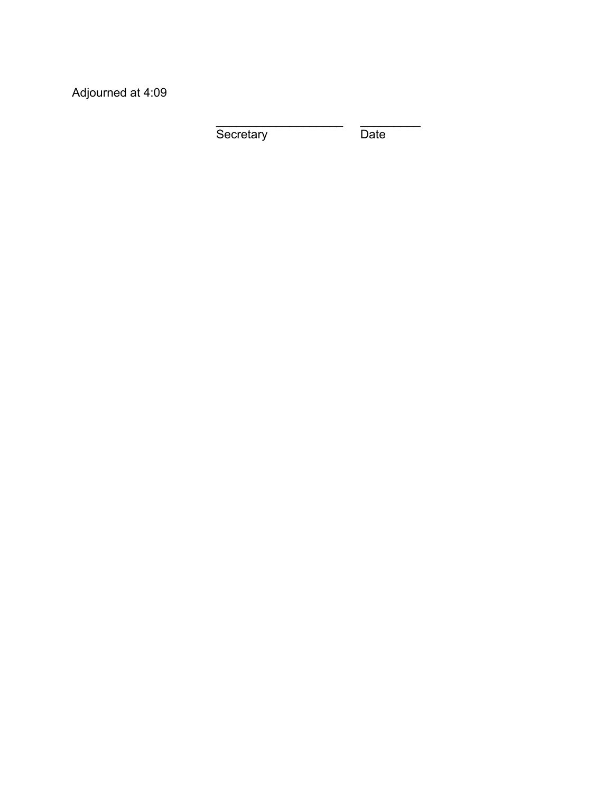Adjourned at 4:09

Secretary Date

\_\_\_\_\_\_\_\_\_\_\_\_\_\_\_\_\_\_\_ \_\_\_\_\_\_\_\_\_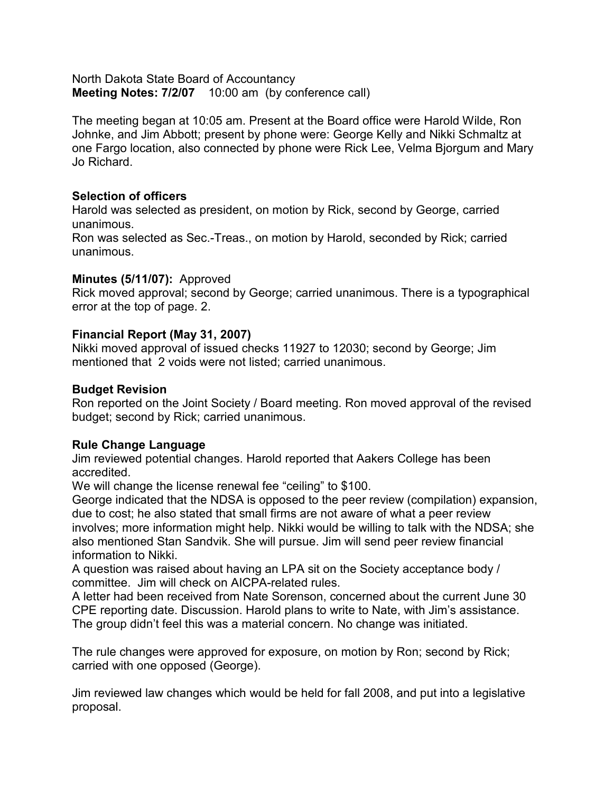North Dakota State Board of Accountancy **Meeting Notes: 7/2/07** 10:00 am (by conference call)

The meeting began at 10:05 am. Present at the Board office were Harold Wilde, Ron Johnke, and Jim Abbott; present by phone were: George Kelly and Nikki Schmaltz at one Fargo location, also connected by phone were Rick Lee, Velma Bjorgum and Mary Jo Richard.

## **Selection of officers**

Harold was selected as president, on motion by Rick, second by George, carried unanimous.

Ron was selected as Sec.-Treas., on motion by Harold, seconded by Rick; carried unanimous.

### **Minutes (5/11/07):** Approved

Rick moved approval; second by George; carried unanimous. There is a typographical error at the top of page. 2.

## **Financial Report (May 31, 2007)**

Nikki moved approval of issued checks 11927 to 12030; second by George; Jim mentioned that 2 voids were not listed; carried unanimous.

### **Budget Revision**

Ron reported on the Joint Society / Board meeting. Ron moved approval of the revised budget; second by Rick; carried unanimous.

#### **Rule Change Language**

Jim reviewed potential changes. Harold reported that Aakers College has been accredited.

We will change the license renewal fee "ceiling" to \$100.

George indicated that the NDSA is opposed to the peer review (compilation) expansion, due to cost; he also stated that small firms are not aware of what a peer review involves; more information might help. Nikki would be willing to talk with the NDSA; she also mentioned Stan Sandvik. She will pursue. Jim will send peer review financial information to Nikki.

A question was raised about having an LPA sit on the Society acceptance body / committee. Jim will check on AICPA-related rules.

A letter had been received from Nate Sorenson, concerned about the current June 30 CPE reporting date. Discussion. Harold plans to write to Nate, with Jim's assistance. The group didn't feel this was a material concern. No change was initiated.

The rule changes were approved for exposure, on motion by Ron; second by Rick; carried with one opposed (George).

Jim reviewed law changes which would be held for fall 2008, and put into a legislative proposal.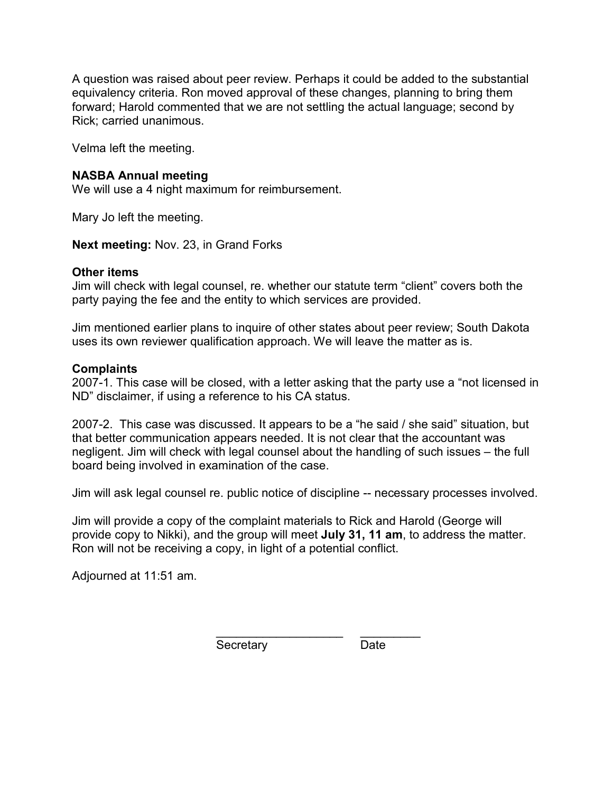A question was raised about peer review. Perhaps it could be added to the substantial equivalency criteria. Ron moved approval of these changes, planning to bring them forward; Harold commented that we are not settling the actual language; second by Rick; carried unanimous.

Velma left the meeting.

## **NASBA Annual meeting**

We will use a 4 night maximum for reimbursement.

Mary Jo left the meeting.

**Next meeting:** Nov. 23, in Grand Forks

### **Other items**

Jim will check with legal counsel, re. whether our statute term "client" covers both the party paying the fee and the entity to which services are provided.

Jim mentioned earlier plans to inquire of other states about peer review; South Dakota uses its own reviewer qualification approach. We will leave the matter as is.

### **Complaints**

2007-1. This case will be closed, with a letter asking that the party use a "not licensed in ND" disclaimer, if using a reference to his CA status.

2007-2. This case was discussed. It appears to be a "he said / she said" situation, but that better communication appears needed. It is not clear that the accountant was negligent. Jim will check with legal counsel about the handling of such issues – the full board being involved in examination of the case.

Jim will ask legal counsel re. public notice of discipline -- necessary processes involved.

Jim will provide a copy of the complaint materials to Rick and Harold (George will provide copy to Nikki), and the group will meet **July 31, 11 am**, to address the matter. Ron will not be receiving a copy, in light of a potential conflict.

Adjourned at 11:51 am.

Secretary Date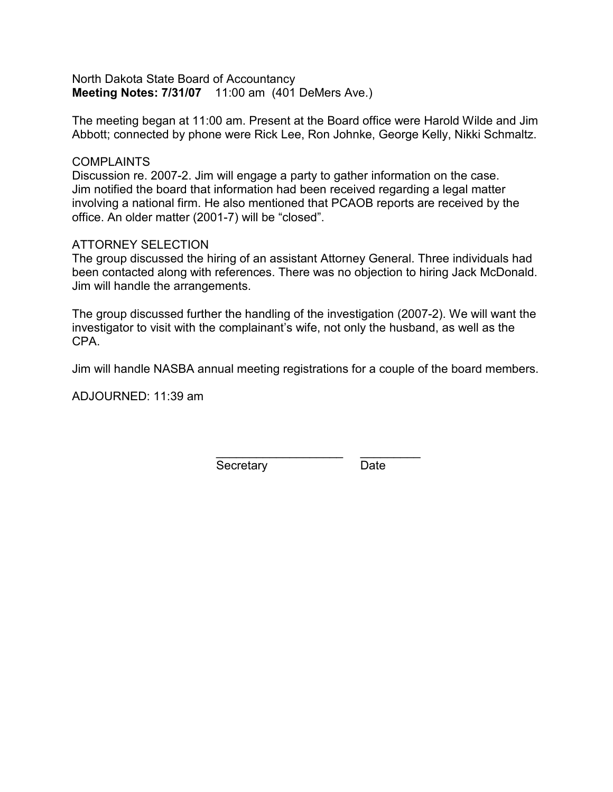North Dakota State Board of Accountancy **Meeting Notes: 7/31/07** 11:00 am (401 DeMers Ave.)

The meeting began at 11:00 am. Present at the Board office were Harold Wilde and Jim Abbott; connected by phone were Rick Lee, Ron Johnke, George Kelly, Nikki Schmaltz.

### COMPI AINTS

Discussion re. 2007-2. Jim will engage a party to gather information on the case. Jim notified the board that information had been received regarding a legal matter involving a national firm. He also mentioned that PCAOB reports are received by the office. An older matter (2001-7) will be "closed".

## ATTORNEY SELECTION

The group discussed the hiring of an assistant Attorney General. Three individuals had been contacted along with references. There was no objection to hiring Jack McDonald. Jim will handle the arrangements.

The group discussed further the handling of the investigation (2007-2). We will want the investigator to visit with the complainant's wife, not only the husband, as well as the CPA.

Jim will handle NASBA annual meeting registrations for a couple of the board members.

ADJOURNED: 11:39 am

\_\_\_\_\_\_\_\_\_\_\_\_\_\_\_\_\_\_\_ \_\_\_\_\_\_\_\_\_ Secretary Date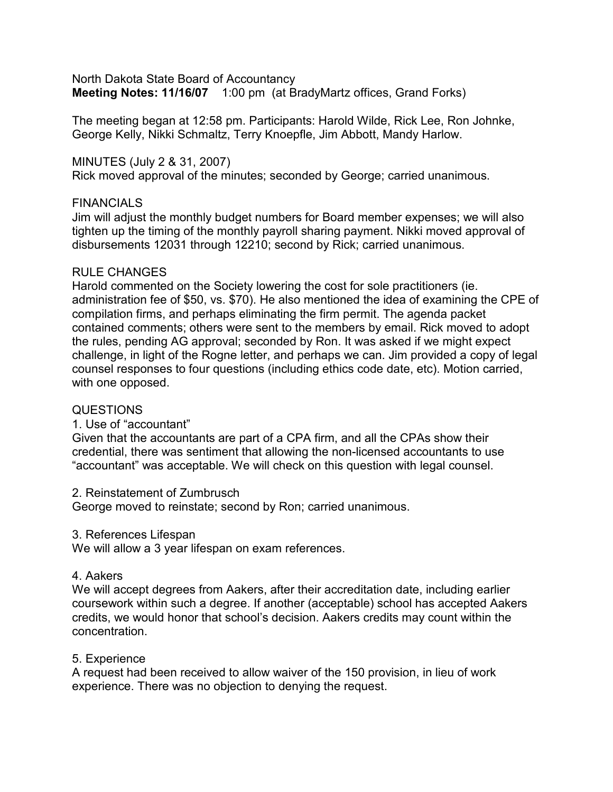North Dakota State Board of Accountancy **Meeting Notes: 11/16/07** 1:00 pm (at BradyMartz offices, Grand Forks)

The meeting began at 12:58 pm. Participants: Harold Wilde, Rick Lee, Ron Johnke, George Kelly, Nikki Schmaltz, Terry Knoepfle, Jim Abbott, Mandy Harlow.

MINUTES (July 2 & 31, 2007)

Rick moved approval of the minutes; seconded by George; carried unanimous.

## **FINANCIALS**

Jim will adjust the monthly budget numbers for Board member expenses; we will also tighten up the timing of the monthly payroll sharing payment. Nikki moved approval of disbursements 12031 through 12210; second by Rick; carried unanimous.

## RULE CHANGES

Harold commented on the Society lowering the cost for sole practitioners (ie. administration fee of \$50, vs. \$70). He also mentioned the idea of examining the CPE of compilation firms, and perhaps eliminating the firm permit. The agenda packet contained comments; others were sent to the members by email. Rick moved to adopt the rules, pending AG approval; seconded by Ron. It was asked if we might expect challenge, in light of the Rogne letter, and perhaps we can. Jim provided a copy of legal counsel responses to four questions (including ethics code date, etc). Motion carried, with one opposed.

# QUESTIONS

# 1. Use of "accountant"

Given that the accountants are part of a CPA firm, and all the CPAs show their credential, there was sentiment that allowing the non-licensed accountants to use "accountant" was acceptable. We will check on this question with legal counsel.

## 2. Reinstatement of Zumbrusch

George moved to reinstate; second by Ron; carried unanimous.

## 3. References Lifespan

We will allow a 3 year lifespan on exam references.

## 4. Aakers

We will accept degrees from Aakers, after their accreditation date, including earlier coursework within such a degree. If another (acceptable) school has accepted Aakers credits, we would honor that school's decision. Aakers credits may count within the concentration.

# 5. Experience

A request had been received to allow waiver of the 150 provision, in lieu of work experience. There was no objection to denying the request.